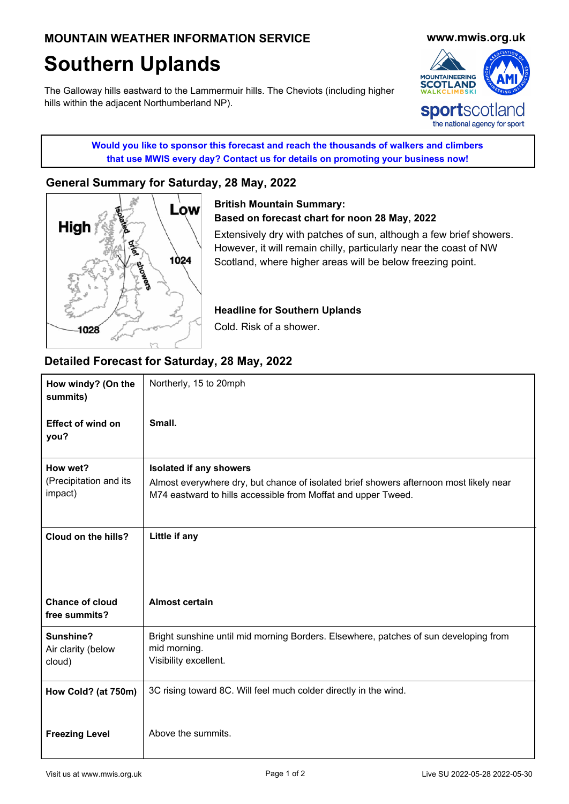# **Southern Uplands**

The Galloway hills eastward to the Lammermuir hills. The Cheviots (including higher hills within the adjacent Northumberland NP).



**Would you like to sponsor this forecast and reach the thousands of walkers and climbers that use MWIS every day? Contact us for details on promoting your business now!**

## **[General Summary for Saturday, 28 May, 2022](http://www.mwis.org.uk)**



**[British Mountain Summary:](http://www.mwis.org.uk) Based on forecast chart for noon 28 May, 2022**

Extensively dry with patches of sun, although a few brief showers. However, it will remain chilly, particularly near the coast of NW Scotland, where higher areas will be below freezing point.

**Headline for Southern Uplands**

Cold. Risk of a shower.

## **Detailed Forecast for Saturday, 28 May, 2022**

| How windy? (On the<br>summits)          | Northerly, 15 to 20mph                                                                                                        |
|-----------------------------------------|-------------------------------------------------------------------------------------------------------------------------------|
| <b>Effect of wind on</b><br>you?        | Small.                                                                                                                        |
| How wet?<br>(Precipitation and its      | <b>Isolated if any showers</b><br>Almost everywhere dry, but chance of isolated brief showers afternoon most likely near      |
| impact)                                 | M74 eastward to hills accessible from Moffat and upper Tweed.                                                                 |
| Cloud on the hills?                     | Little if any                                                                                                                 |
|                                         |                                                                                                                               |
| <b>Chance of cloud</b><br>free summits? | <b>Almost certain</b>                                                                                                         |
| Sunshine?<br>Air clarity (below         | Bright sunshine until mid morning Borders. Elsewhere, patches of sun developing from<br>mid morning.<br>Visibility excellent. |
| cloud)                                  |                                                                                                                               |
| How Cold? (at 750m)                     | 3C rising toward 8C. Will feel much colder directly in the wind.                                                              |
| <b>Freezing Level</b>                   | Above the summits.                                                                                                            |